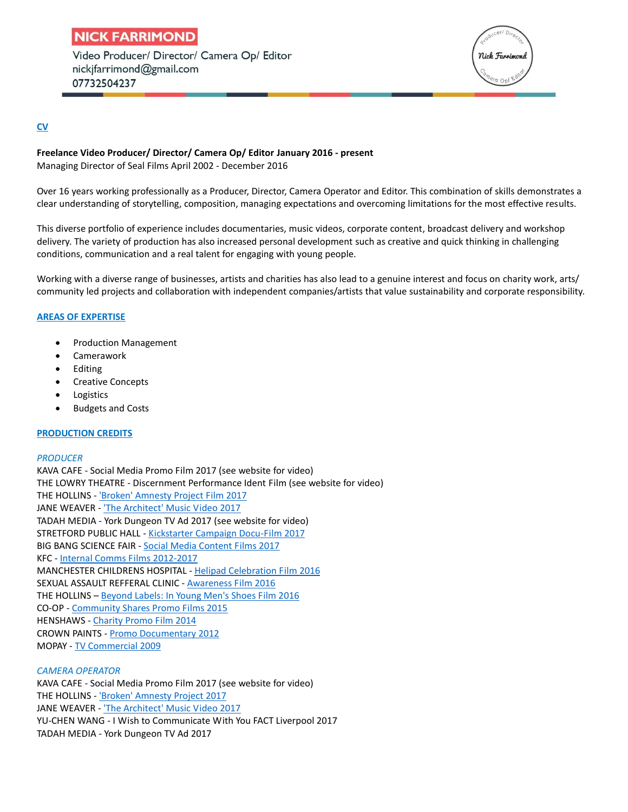# **NICK FARRIMOND**

Video Producer/ Director/ Camera Op/ Editor nickifarrimond@gmail.com 07732504237



# **CV**

## **Freelance Video Producer/ Director/ Camera Op/ Editor January 2016 - present** Managing Director of Seal Films April 2002 - December 2016

Over 16 years working professionally as a Producer, Director, Camera Operator and Editor. This combination of skills demonstrates a clear understanding of storytelling, composition, managing expectations and overcoming limitations for the most effective results.

This diverse portfolio of experience includes documentaries, music videos, corporate content, broadcast delivery and workshop delivery. The variety of production has also increased personal development such as creative and quick thinking in challenging conditions, communication and a real talent for engaging with young people.

Working with a diverse range of businesses, artists and charities has also lead to a genuine interest and focus on charity work, arts/ community led projects and collaboration with independent companies/artists that value sustainability and corporate responsibility.

# **AREAS OF EXPERTISE**

- Production Management
- Camerawork
- Editing
- Creative Concepts
- Logistics
- Budgets and Costs

### **PRODUCTION CREDITS**

### *PRODUCER*

KAVA CAFE - Social Media Promo Film 2017 (see website for video) THE LOWRY THEATRE - Discernment Performance Ident Film (see website for video) THE HOLLINS - ['Broken' Amnesty Project](https://www.youtube.com/watch?v=PVl_GMnKnts&feature=youtu.be) Film 2017 JANE WEAVER - 'The Architect' [Music Video 2017](https://www.youtube.com/watch?v=keXHh0lr2y8) TADAH MEDIA - York Dungeon TV Ad 2017 (see website for video) STRETFORD PUBLIC HALL - [Kickstarter Campaign Docu-Film](https://www.youtube.com/watch?v=3wX243z_NQg&t=8s) 2017 BIG BANG SCIENCE FAIR - [Social Media Content Films 2017](https://www.youtube.com/watch?v=SJqWoZ3xHrs&t=33s) KFC - [Internal Comms Films](https://vimeo.com/162365914/2eab9021c7) 2012-2017 MANCHESTER CHILDRENS HOSPITAL - [Helipad Celebration Film](https://www.youtube.com/watch?v=4nTH2aztTQk) 2016 SEXUAL ASSAULT REFFERAL CLINIC - **[Awareness Film](https://www.youtube.com/watch?v=cZD5uFi6SnM) 2016** THE HOLLINS – [Beyond Labels: In Young Men's Shoes Film 2016](https://www.youtube.com/watch?v=XGtVbO0NYh4&t=131s) CO-OP - [Community Shares Promo Films 2015](https://www.youtube.com/watch?v=vM6LRMPTjt0) HENSHAWS - [Charity Promo Film 2014](https://www.youtube.com/watch?v=EA_eRqin3cU) CROWN PAINTS - [Promo Documentary 2012](https://vimeo.com/52690527) MOPAY - [TV Commercial](https://www.youtube.com/watch?v=lNSu3DzFzkc) 2009

### *CAMERA OPERATOR*

KAVA CAFE - Social Media Promo Film 2017 (see website for video) THE HOLLINS - ['Broken' Amnesty Project](https://www.youtube.com/watch?v=PVl_GMnKnts&feature=youtu.be) 2017 JANE WEAVER - 'The Architect' [Music Video 2017](https://www.youtube.com/watch?v=keXHh0lr2y8) YU-CHEN WANG - I Wish to Communicate With You FACT Liverpool 2017 TADAH MEDIA - York Dungeon TV Ad 2017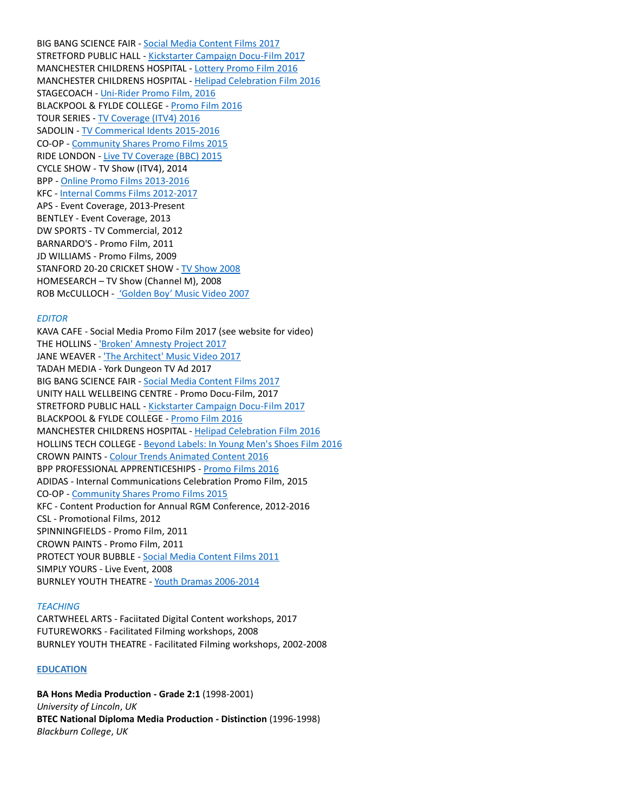BIG BANG SCIENCE FAIR - [Social Media Content Films](https://www.youtube.com/watch?v=Eguynn8oYAQ) 2017 STRETFORD PUBLIC HALL - [Kickstarter Campaign Docu-Film](https://www.youtube.com/watch?v=3wX243z_NQg&t=8s) 2017 MANCHESTER CHILDRENS HOSPITAL - [Lottery Promo Film 2016](https://vimeo.com/189181720)  MANCHESTER CHILDRENS HOSPITAL - [Helipad Celebration Film](https://www.youtube.com/watch?v=4nTH2aztTQk) 2016 STAGECOACH - Uni-Rider [Promo Film, 2016](https://vimeo.com/182105998) BLACKPOOL & FYLDE COLLEGE - [Promo Film](https://vimeo.com/177202121) 2016 TOUR SERIES - [TV Coverage \(ITV4\) 2016](https://www.youtube.com/watch?v=B-fStrQcmGU) SADOLIN - [TV Commerical Idents](https://vimeo.com/125139384) 2015-2016 CO-OP - [Community Shares Promo Films](https://www.youtube.com/watch?v=H2U9XUBy7KI&t=99s) 2015 RIDE LONDON - [Live TV Coverage \(BBC\) 2015](https://www.youtube.com/watch?v=AeHHnkqdSB8) CYCLE SHOW - TV Show (ITV4), 2014 BPP - [Online Promo Films](https://www.youtube.com/watch?v=ayMypqR1ph8) 2013-2016 KFC - [Internal Comms Films 2012-2017](https://vimeo.com/154744442) APS - Event Coverage, 2013-Present BENTLEY - Event Coverage, 2013 DW SPORTS - TV Commercial, 2012 BARNARDO'S - Promo Film, 2011 JD WILLIAMS - Promo Films, 2009 STANFORD 20-20 CRICKET SHOW - [TV Show 2008](https://www.youtube.com/watch?v=Ai1oOq1vr9k) HOMESEARCH – TV Show (Channel M), 2008 ROB McCULLOCH - ['Golden Boy' Music Video 2007](https://www.youtube.com/watch?v=RfsPc-3NyiE)

#### *EDITOR*

KAVA CAFE - Social Media Promo Film 2017 (see website for video) THE HOLLINS - ['Broken' Amnesty Project](https://www.youtube.com/watch?v=PVl_GMnKnts&feature=youtu.be) 2017 JANE WEAVER - 'The Architect' [Music Video 2017](https://www.youtube.com/watch?v=keXHh0lr2y8) TADAH MEDIA - York Dungeon TV Ad 2017 BIG BANG SCIENCE FAIR - [Social Media Content Films 2017](https://www.youtube.com/watch?v=gP1mU6gpNq0&t=8s) UNITY HALL WELLBEING CENTRE - Promo Docu-Film, 2017 STRETFORD PUBLIC HALL - [Kickstarter Campaign Docu-Film](https://www.youtube.com/watch?v=3wX243z_NQg&t=8s) 2017 BLACKPOOL & FYLDE COLLEGE - [Promo Film](https://vimeo.com/177202121) 2016 MANCHESTER CHILDRENS HOSPITAL - [Helipad Celebration Film](https://www.youtube.com/watch?v=4nTH2aztTQk) 2016 HOLLINS TECH COLLEGE - [Beyond Labels: In Young Men's Shoes Film 2016](https://www.youtube.com/watch?v=XGtVbO0NYh4&t=131s) CROWN PAINTS - [Colour Trends Animated Content 2016](https://www.youtube.com/watch?v=i_oYIR8QIFA) BPP PROFESSIONAL APPRENTICESHIPS - [Promo Films 2016](https://www.youtube.com/watch?v=wJnfKMpWqBw) ADIDAS - Internal Communications Celebration Promo Film, 2015 CO-OP - [Community Shares Promo Films 2015](https://www.youtube.com/watch?v=rnzndlQAfhA) KFC - Content Production for Annual RGM Conference, 2012-2016 CSL - Promotional Films, 2012 SPINNINGFIELDS - Promo Film, 2011 CROWN PAINTS - Promo Film, 2011 PROTECT YOUR BUBBLE - [Social Media Content Films 2011](https://www.youtube.com/watch?v=-L0FlKSPLUI) SIMPLY YOURS - Live Event, 2008 BURNLEY YOUTH THEATRE - [Youth Dramas 2006-2014](https://www.youtube.com/watch?v=v4A8AZDtveY)

#### *TEACHING*

CARTWHEEL ARTS - Faciitated Digital Content workshops, 2017 FUTUREWORKS - Facilitated Filming workshops, 2008 BURNLEY YOUTH THEATRE - Facilitated Filming workshops, 2002-2008

#### **EDUCATION**

**BA Hons Media Production - Grade 2:1** (1998-2001) *University of Lincoln*, *UK* **BTEC National Diploma Media Production - Distinction** (1996-1998) *Blackburn College*, *UK*